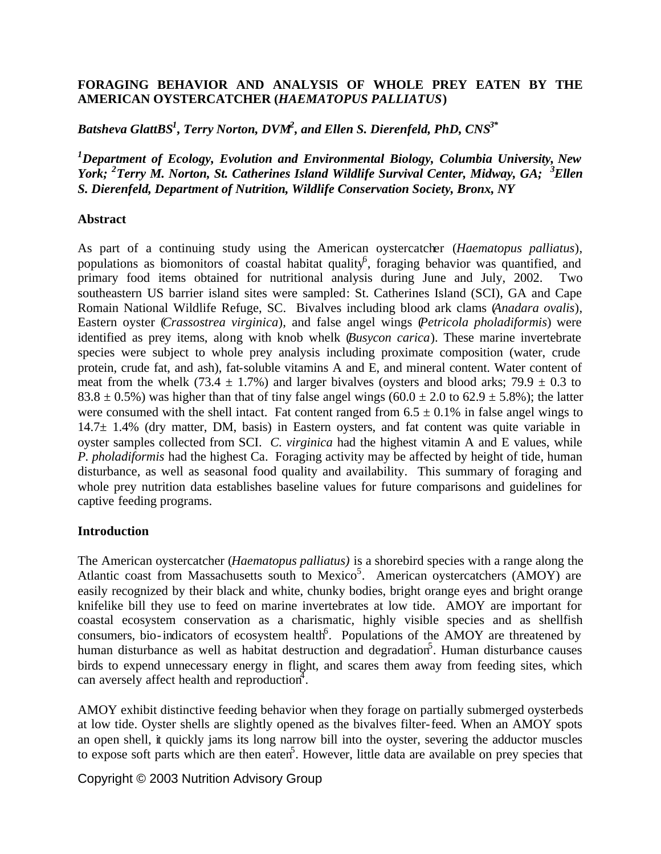## **FORAGING BEHAVIOR AND ANALYSIS OF WHOLE PREY EATEN BY THE AMERICAN OYSTERCATCHER (***HAEMATOPUS PALLIATUS***)**

*Batsheva GlattBS<sup>1</sup> , Terry Norton, DVM<sup>2</sup> , and Ellen S. Dierenfeld, PhD, CNS3\**

*<sup>1</sup>Department of Ecology, Evolution and Environmental Biology, Columbia University, New York; <sup>2</sup>Terry M. Norton, St. Catherines Island Wildlife Survival Center, Midway, GA; <sup>3</sup>Ellen S. Dierenfeld, Department of Nutrition, Wildlife Conservation Society, Bronx, NY*

## **Abstract**

As part of a continuing study using the American oystercatcher (*Haematopus palliatus*), populations as biomonitors of coastal habitat quality<sup>6</sup>, foraging behavior was quantified, and primary food items obtained for nutritional analysis during June and July, 2002. Two southeastern US barrier island sites were sampled: St. Catherines Island (SCI), GA and Cape Romain National Wildlife Refuge, SC. Bivalves including blood ark clams (*Anadara ovalis*), Eastern oyster (*Crassostrea virginica*), and false angel wings (*Petricola pholadiformis*) were identified as prey items, along with knob whelk (*Busycon carica*). These marine invertebrate species were subject to whole prey analysis including proximate composition (water, crude protein, crude fat, and ash), fat-soluble vitamins A and E, and mineral content. Water content of meat from the whelk (73.4  $\pm$  1.7%) and larger bivalves (oysters and blood arks; 79.9  $\pm$  0.3 to 83.8  $\pm$  0.5%) was higher than that of tiny false angel wings (60.0  $\pm$  2.0 to 62.9  $\pm$  5.8%); the latter were consumed with the shell intact. Fat content ranged from  $6.5 \pm 0.1\%$  in false angel wings to  $14.7\pm 1.4\%$  (dry matter, DM, basis) in Eastern oysters, and fat content was quite variable in oyster samples collected from SCI. *C. virginica* had the highest vitamin A and E values, while *P. pholadiformis* had the highest Ca. Foraging activity may be affected by height of tide, human disturbance, as well as seasonal food quality and availability. This summary of foraging and whole prey nutrition data establishes baseline values for future comparisons and guidelines for captive feeding programs.

## **Introduction**

The American oystercatcher (*Haematopus palliatus)* is a shorebird species with a range along the Atlantic coast from Massachusetts south to Mexico<sup>5</sup>. American oystercatchers (AMOY) are easily recognized by their black and white, chunky bodies, bright orange eyes and bright orange knifelike bill they use to feed on marine invertebrates at low tide. AMOY are important for coastal ecosystem conservation as a charismatic, highly visible species and as shellfish consumers, bio-indicators of ecosystem health<sup>6</sup>. Populations of the AMOY are threatened by human disturbance as well as habitat destruction and degradation<sup>5</sup>. Human disturbance causes birds to expend unnecessary energy in flight, and scares them away from feeding sites, which can aversely affect health and reproduction<sup>4</sup>.

AMOY exhibit distinctive feeding behavior when they forage on partially submerged oysterbeds at low tide. Oyster shells are slightly opened as the bivalves filter-feed. When an AMOY spots an open shell, it quickly jams its long narrow bill into the oyster, severing the adductor muscles to expose soft parts which are then eaten<sup>5</sup>. However, little data are available on prey species that

Copyright © 2003 Nutrition Advisory Group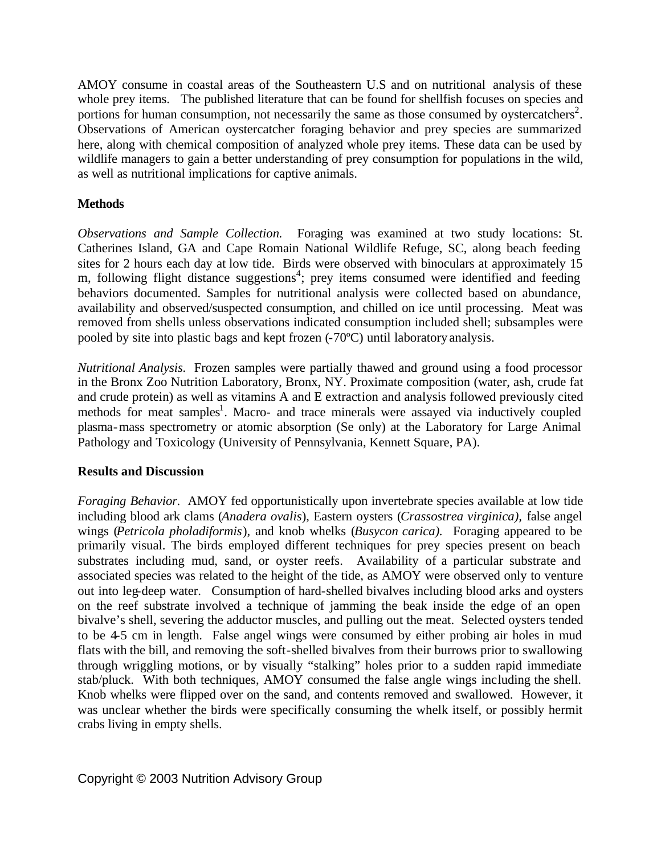AMOY consume in coastal areas of the Southeastern U.S and on nutritional analysis of these whole prey items. The published literature that can be found for shellfish focuses on species and portions for human consumption, not necessarily the same as those consumed by oystercatchers<sup>2</sup>. Observations of American oystercatcher foraging behavior and prey species are summarized here, along with chemical composition of analyzed whole prey items. These data can be used by wildlife managers to gain a better understanding of prey consumption for populations in the wild, as well as nutritional implications for captive animals.

# **Methods**

*Observations and Sample Collection.* Foraging was examined at two study locations: St. Catherines Island, GA and Cape Romain National Wildlife Refuge, SC, along beach feeding sites for 2 hours each day at low tide. Birds were observed with binoculars at approximately 15 m, following flight distance suggestions<sup>4</sup>; prey items consumed were identified and feeding behaviors documented. Samples for nutritional analysis were collected based on abundance, availability and observed/suspected consumption, and chilled on ice until processing. Meat was removed from shells unless observations indicated consumption included shell; subsamples were pooled by site into plastic bags and kept frozen (-70ºC) until laboratory analysis.

*Nutritional Analysis.* Frozen samples were partially thawed and ground using a food processor in the Bronx Zoo Nutrition Laboratory, Bronx, NY. Proximate composition (water, ash, crude fat and crude protein) as well as vitamins A and E extraction and analysis followed previously cited methods for meat samples<sup>1</sup>. Macro- and trace minerals were assayed via inductively coupled plasma-mass spectrometry or atomic absorption (Se only) at the Laboratory for Large Animal Pathology and Toxicology (University of Pennsylvania, Kennett Square, PA).

## **Results and Discussion**

*Foraging Behavior.* AMOY fed opportunistically upon invertebrate species available at low tide including blood ark clams (*Anadera ovalis*), Eastern oysters (*Crassostrea virginica),* false angel wings (*Petricola pholadiformis*), and knob whelks (*Busycon carica).* Foraging appeared to be primarily visual. The birds employed different techniques for prey species present on beach substrates including mud, sand, or oyster reefs. Availability of a particular substrate and associated species was related to the height of the tide, as AMOY were observed only to venture out into leg-deep water. Consumption of hard-shelled bivalves including blood arks and oysters on the reef substrate involved a technique of jamming the beak inside the edge of an open bivalve's shell, severing the adductor muscles, and pulling out the meat. Selected oysters tended to be 4-5 cm in length. False angel wings were consumed by either probing air holes in mud flats with the bill, and removing the soft-shelled bivalves from their burrows prior to swallowing through wriggling motions, or by visually "stalking" holes prior to a sudden rapid immediate stab/pluck. With both techniques, AMOY consumed the false angle wings including the shell. Knob whelks were flipped over on the sand, and contents removed and swallowed. However, it was unclear whether the birds were specifically consuming the whelk itself, or possibly hermit crabs living in empty shells.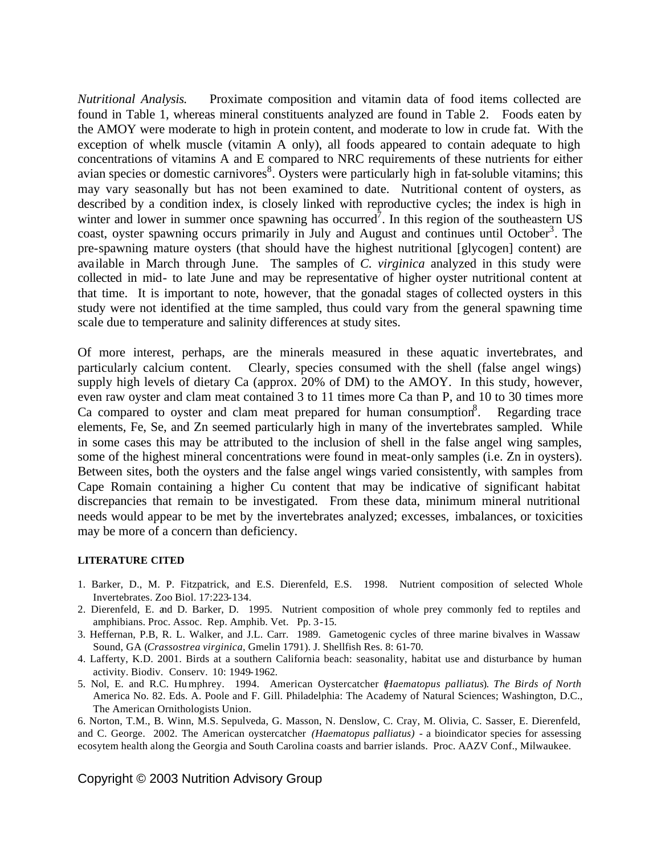*Nutritional Analysis.* Proximate composition and vitamin data of food items collected are found in Table 1, whereas mineral constituents analyzed are found in Table 2. Foods eaten by the AMOY were moderate to high in protein content, and moderate to low in crude fat. With the exception of whelk muscle (vitamin A only), all foods appeared to contain adequate to high concentrations of vitamins A and E compared to NRC requirements of these nutrients for either avian species or domestic carnivores<sup>8</sup>. Oysters were particularly high in fat-soluble vitamins; this may vary seasonally but has not been examined to date. Nutritional content of oysters, as described by a condition index, is closely linked with reproductive cycles; the index is high in winter and lower in summer once spawning has occurred<sup>7</sup>. In this region of the southeastern US coast, oyster spawning occurs primarily in July and August and continues until October<sup>3</sup>. The pre-spawning mature oysters (that should have the highest nutritional [glycogen] content) are available in March through June. The samples of *C. virginica* analyzed in this study were collected in mid- to late June and may be representative of higher oyster nutritional content at that time. It is important to note, however, that the gonadal stages of collected oysters in this study were not identified at the time sampled, thus could vary from the general spawning time scale due to temperature and salinity differences at study sites.

Of more interest, perhaps, are the minerals measured in these aquatic invertebrates, and particularly calcium content. Clearly, species consumed with the shell (false angel wings) supply high levels of dietary Ca (approx. 20% of DM) to the AMOY. In this study, however, even raw oyster and clam meat contained 3 to 11 times more Ca than P, and 10 to 30 times more Ca compared to oyster and clam meat prepared for human consumption $8$ . Regarding trace elements, Fe, Se, and Zn seemed particularly high in many of the invertebrates sampled. While in some cases this may be attributed to the inclusion of shell in the false angel wing samples, some of the highest mineral concentrations were found in meat-only samples (i.e. Zn in oysters). Between sites, both the oysters and the false angel wings varied consistently, with samples from Cape Romain containing a higher Cu content that may be indicative of significant habitat discrepancies that remain to be investigated. From these data, minimum mineral nutritional needs would appear to be met by the invertebrates analyzed; excesses, imbalances, or toxicities may be more of a concern than deficiency.

#### **LITERATURE CITED**

- 1. Barker, D., M. P. Fitzpatrick, and E.S. Dierenfeld, E.S. 1998. Nutrient composition of selected Whole Invertebrates. Zoo Biol. 17:223-134.
- 2. Dierenfeld, E. and D. Barker, D. 1995. Nutrient composition of whole prey commonly fed to reptiles and amphibians. Proc. Assoc. Rep. Amphib. Vet. Pp. 3-15.
- 3. Heffernan, P.B, R. L. Walker, and J.L. Carr. 1989. Gametogenic cycles of three marine bivalves in Wassaw Sound, GA (*Crassostrea virginica*, Gmelin 1791). J. Shellfish Res. 8: 61-70.
- 4. Lafferty, K.D. 2001. Birds at a southern California beach: seasonality, habitat use and disturbance by human activity. Biodiv. Conserv. 10: 1949-1962.
- 5. Nol, E. and R.C. Humphrey. 1994. American Oystercatcher (*Haematopus palliatus*). *The Birds of North*  America No. 82. Eds. A. Poole and F. Gill. Philadelphia: The Academy of Natural Sciences; Washington, D.C., The American Ornithologists Union.

6. Norton, T.M., B. Winn, M.S. Sepulveda, G. Masson, N. Denslow, C. Cray, M. Olivia, C. Sasser, E. Dierenfeld, and C. George. 2002. The American oystercatcher *(Haematopus palliatus)* - a bioindicator species for assessing ecosytem health along the Georgia and South Carolina coasts and barrier islands. Proc. AAZV Conf., Milwaukee.

Copyright © 2003 Nutrition Advisory Group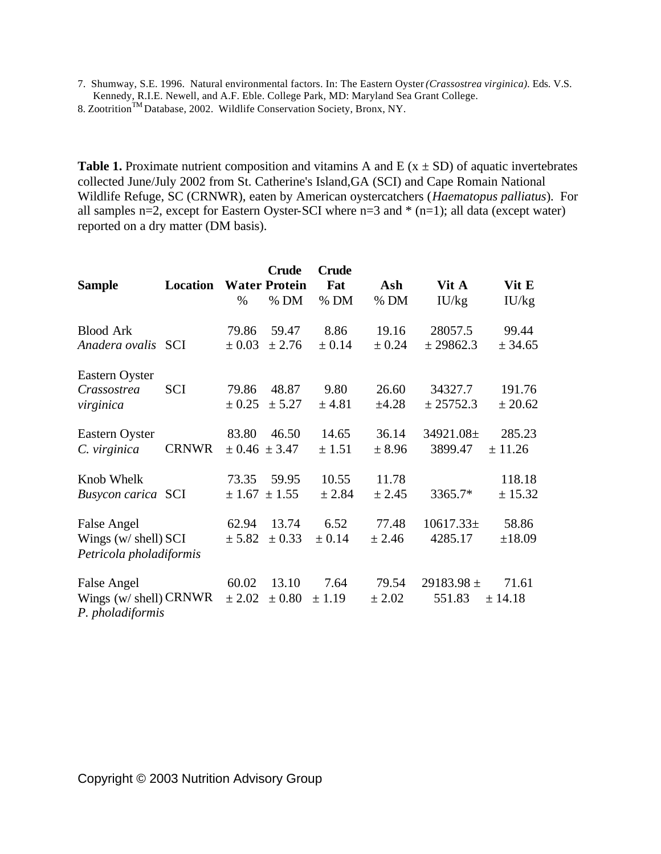7. Shumway, S.E. 1996. Natural environmental factors. In: The Eastern Oyster *(Crassostrea virginica).* Eds. V.S. Kennedy, R.I.E. Newell, and A.F. Eble. College Park, MD: Maryland Sea Grant College.

8. Zootrition<sup>TM</sup> Database, 2002. Wildlife Conservation Society, Bronx, NY.

**Table 1.** Proximate nutrient composition and vitamins A and E ( $x \pm SD$ ) of aquatic invertebrates collected June/July 2002 from St. Catherine's Island,GA (SCI) and Cape Romain National Wildlife Refuge, SC (CRNWR), eaten by American oystercatchers (*Haematopus palliatus*). For all samples n=2, except for Eastern Oyster-SCI where n=3 and  $*(n=1)$ ; all data (except water) reported on a dry matter (DM basis).

| <b>Sample</b>                                                     | <b>Location</b> | $\%$                | <b>Crude</b><br><b>Water Protein</b><br>$%$ DM | <b>Crude</b><br>Fat<br>$%$ DM | Ash<br>$%$ DM       | Vit A<br>IU/kg           | Vit E<br>IU/kg    |
|-------------------------------------------------------------------|-----------------|---------------------|------------------------------------------------|-------------------------------|---------------------|--------------------------|-------------------|
| <b>Blood Ark</b><br>Anadera ovalis SCI                            |                 | 79.86<br>$\pm 0.03$ | 59.47<br>± 2.76                                | 8.86<br>$\pm 0.14$            | 19.16<br>$\pm$ 0.24 | 28057.5<br>± 29862.3     | 99.44<br>± 34.65  |
| Eastern Oyster<br>Crassostrea<br>virginica                        | <b>SCI</b>      | 79.86<br>± 0.25     | 48.87<br>± 5.27                                | 9.80<br>± 4.81                | 26.60<br>$\pm 4.28$ | 34327.7<br>± 25752.3     | 191.76<br>± 20.62 |
| Eastern Oyster<br>C. virginica                                    | <b>CRNWR</b>    | 83.80               | 46.50<br>$\pm 0.46 \pm 3.47$                   | 14.65<br>± 1.51               | 36.14<br>± 8.96     | 34921.08±<br>3899.47     | 285.23<br>± 11.26 |
| Knob Whelk<br><b>Busycon carica SCI</b>                           |                 | 73.35               | 59.95<br>$\pm 1.67 \pm 1.55$                   | 10.55<br>± 2.84               | 11.78<br>± 2.45     | 3365.7*                  | 118.18<br>± 15.32 |
| False Angel<br>Wings (w/ shell) SCI<br>Petricola pholadiformis    |                 | 62.94<br>± 5.82     | 13.74<br>$\pm$ 0.33                            | 6.52<br>± 0.14                | 77.48<br>± 2.46     | $10617.33\pm$<br>4285.17 | 58.86<br>±18.09   |
| False Angel<br>Wings $(w/\text{shell})$ CRNWR<br>P. pholadiformis |                 | 60.02<br>± 2.02     | 13.10<br>$\pm 0.80$                            | 7.64<br>± 1.19                | 79.54<br>± 2.02     | 29183.98 $\pm$<br>551.83 | 71.61<br>± 14.18  |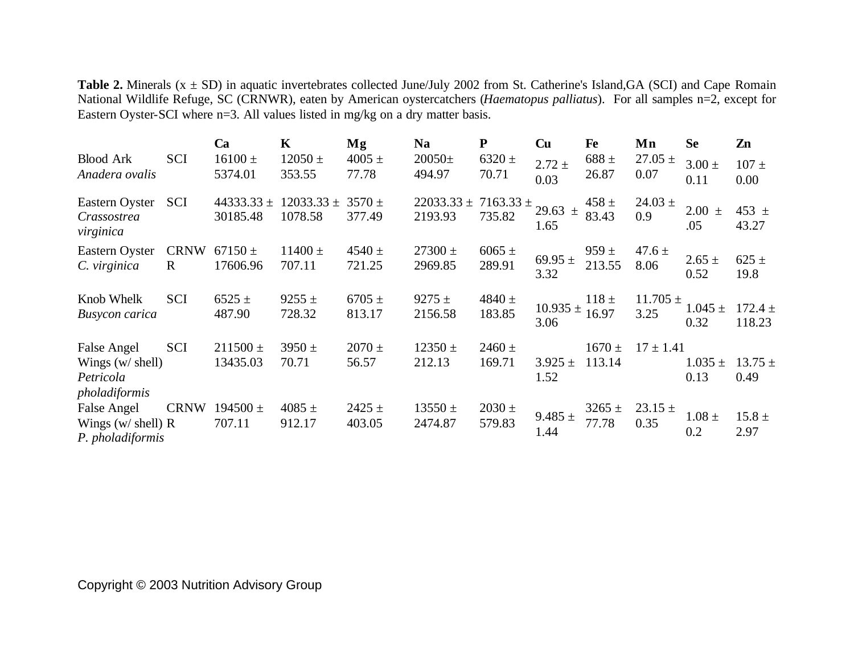**Table 2.** Minerals  $(x \pm SD)$  in aquatic invertebrates collected June/July 2002 from St. Catherine's Island,GA (SCI) and Cape Romain National Wildlife Refuge, SC (CRNWR), eaten by American oystercatchers (*Haematopus palliatus*). For all samples n=2, except for Eastern Oyster-SCI where n=3. All values listed in mg/kg on a dry matter basis.

|                                                                  |                             | Ca                         | K                         | Mg                   | <b>Na</b>                 | ${\bf P}$               | Cu                   | Fe                   | Mn                   | <b>Se</b>            | Zn                    |
|------------------------------------------------------------------|-----------------------------|----------------------------|---------------------------|----------------------|---------------------------|-------------------------|----------------------|----------------------|----------------------|----------------------|-----------------------|
| <b>Blood Ark</b><br>Anadera ovalis                               | <b>SCI</b>                  | $16100 \pm$<br>5374.01     | $12050 \pm$<br>353.55     | $4005 \pm$<br>77.78  | $20050 \pm$<br>494.97     | $6320 \pm$<br>70.71     | $2.72 \pm$<br>0.03   | $688 \pm$<br>26.87   | $27.05 \pm$<br>0.07  | $3.00 \pm$<br>0.11   | $107 \pm$<br>0.00     |
| Eastern Oyster<br>Crassostrea<br>virginica                       | <b>SCI</b>                  | 44333.33 $\pm$<br>30185.48 | $12033.33 \pm$<br>1078.58 | $3570 \pm$<br>377.49 | $22033.33 \pm$<br>2193.93 | $7163.33 \pm$<br>735.82 | 29.63 $\pm$<br>1.65  | $458 \pm$<br>83.43   | $24.03 \pm$<br>0.9   | 2.00<br>$\pm$<br>.05 | 453 $\pm$<br>43.27    |
| Eastern Oyster<br>C. virginica                                   | <b>CRNW</b><br>$\mathbf{R}$ | $67150 \pm$<br>17606.96    | $11400 \pm$<br>707.11     | $4540 \pm$<br>721.25 | $27300 \pm$<br>2969.85    | $6065 \pm$<br>289.91    | 69.95 $\pm$<br>3.32  | $959 \pm$<br>213.55  | $47.6 \pm$<br>8.06   | $2.65 \pm$<br>0.52   | $625 \pm$<br>19.8     |
| Knob Whelk<br>Busycon carica                                     | <b>SCI</b>                  | $6525 \pm$<br>487.90       | $9255 \pm$<br>728.32      | $6705 \pm$<br>813.17 | $9275 \pm$<br>2156.58     | 4840 $\pm$<br>183.85    | $10.935 \pm$<br>3.06 | $118 \pm$<br>16.97   | $11.705 \pm$<br>3.25 | $1.045 \pm$<br>0.32  | $172.4 \pm$<br>118.23 |
| False Angel<br>Wings $(w / shell)$<br>Petricola<br>pholadiformis | SCI                         | $211500 \pm$<br>13435.03   | $3950 \pm$<br>70.71       | $2070 \pm$<br>56.57  | $12350 \pm$<br>212.13     | $2460 \pm$<br>169.71    | $3.925 \pm$<br>1.52  | $1670 \pm$<br>113.14 | $17 \pm 1.41$        | $1.035 \pm$<br>0.13  | $13.75 \pm$<br>0.49   |
| False Angel<br>Wings (w/ shell) $R$<br>P. pholadiformis          | <b>CRNW</b>                 | $194500 \pm$<br>707.11     | $4085 \pm$<br>912.17      | $2425 \pm$<br>403.05 | $13550 \pm$<br>2474.87    | $2030 \pm$<br>579.83    | 9.485 $\pm$<br>1.44  | $3265 \pm$<br>77.78  | $23.15 \pm$<br>0.35  | $1.08 \pm$<br>0.2    | $15.8 \pm$<br>2.97    |